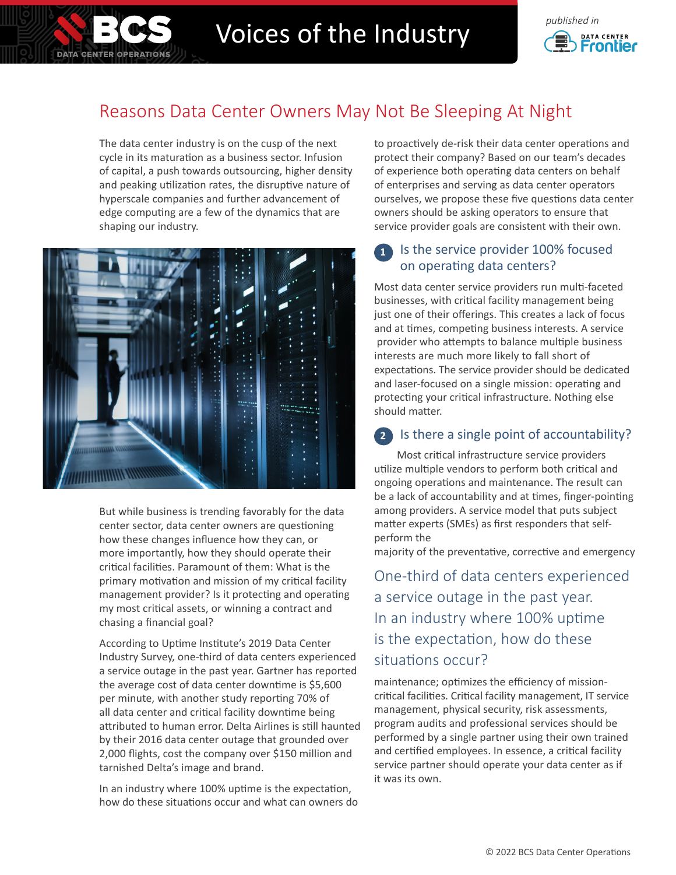

# Voices of the Industry **Construction**



## Reasons Data Center Owners May Not Be Sleeping At Night

The data center industry is on the cusp of the next cycle in its maturation as a business sector. Infusion of capital, a push towards outsourcing, higher density and peaking utilization rates, the disruptive nature of hyperscale companies and further advancement of edge computing are a few of the dynamics that are shaping our industry.



But while business is trending favorably for the data center sector, data center owners are questioning how these changes influence how they can, or more importantly, how they should operate their critical facilities. Paramount of them: What is the primary motivation and mission of my critical facility management provider? Is it protecting and operating my most critical assets, or winning a contract and chasing a financial goal?

According to Uptime Institute's 2019 Data Center Industry Survey, one-third of data centers experienced a service outage in the past year. Gartner has reported the average cost of data center downtime is \$5,600 per minute, with another study reporting 70% of all data center and critical facility downtime being attributed to human error. Delta Airlines is still haunted by their 2016 data center outage that grounded over 2,000 flights, cost the company over \$150 million and tarnished Delta's image and brand.

In an industry where 100% uptime is the expectation, how do these situations occur and what can owners do to proactively de-risk their data center operations and protect their company? Based on our team's decades of experience both operating data centers on behalf of enterprises and serving as data center operators ourselves, we propose these five questions data center owners should be asking operators to ensure that service provider goals are consistent with their own.

## **1** Is the service provider 100% focused on operating data centers?

Most data center service providers run multi-faceted businesses, with critical facility management being just one of their offerings. This creates a lack of focus and at times, competing business interests. A service provider who attempts to balance multiple business interests are much more likely to fall short of expectations. The service provider should be dedicated and laser-focused on a single mission: operating and protecting your critical infrastructure. Nothing else should matter.

## **2** Is there a single point of accountability?

Most critical infrastructure service providers utilize multiple vendors to perform both critical and ongoing operations and maintenance. The result can be a lack of accountability and at times, finger-pointing among providers. A service model that puts subject matter experts (SMEs) as first responders that selfperform the

majority of the preventative, corrective and emergency

One-third of data centers experienced a service outage in the past year. In an industry where 100% uptime is the expectation, how do these situations occur?

maintenance; optimizes the efficiency of missioncritical facilities. Critical facility management, IT service management, physical security, risk assessments, program audits and professional services should be performed by a single partner using their own trained and certified employees. In essence, a critical facility service partner should operate your data center as if it was its own.